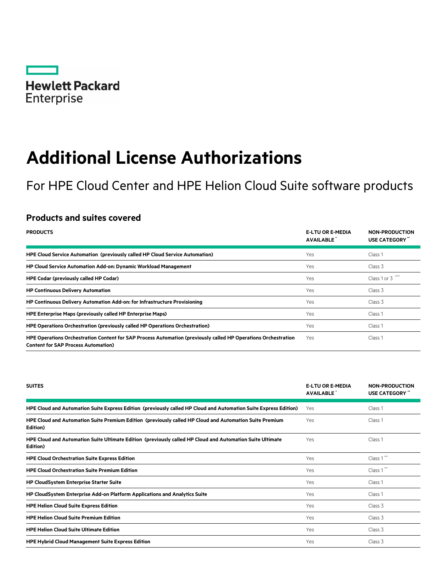

# **Additional License Authorizations**

For HPE Cloud Center and HPE Helion Cloud Suite software products

# **Products and suites covered**

| <b>PRODUCTS</b>                                                                                                                                              | <b>E-LTU OR E-MEDIA</b><br><b>AVAILABLE</b> | <b>NON-PRODUCTION</b><br>USE CATEGORY |
|--------------------------------------------------------------------------------------------------------------------------------------------------------------|---------------------------------------------|---------------------------------------|
| HPE Cloud Service Automation (previously called HP Cloud Service Automation)                                                                                 | Yes                                         | Class 1                               |
| <b>HP Cloud Service Automation Add-on: Dynamic Workload Management</b>                                                                                       | Yes                                         | Class 3                               |
| <b>HPE Codar (previously called HP Codar)</b>                                                                                                                | Yes                                         | Class 1 or 3                          |
| <b>HP Continuous Delivery Automation</b>                                                                                                                     | Yes                                         | Class 3                               |
| HP Continuous Delivery Automation Add-on: for Infrastructure Provisioning                                                                                    | Yes                                         | Class 3                               |
| <b>HPE Enterprise Maps (previously called HP Enterprise Maps)</b>                                                                                            | Yes                                         | Class 1                               |
| HPE Operations Orchestration (previously called HP Operations Orchestration)                                                                                 | Yes                                         | Class 1                               |
| HPE Operations Orchestration Content for SAP Process Automation (previously called HP Operations Orchestration<br><b>Content for SAP Process Automation)</b> | Yes                                         | Class <sub>1</sub>                    |

| <b>SUITES</b>                                                                                                         | <b>E-LTU OR E-MEDIA</b><br><b>AVAILABLE</b> | <b>NON-PRODUCTION</b><br>USE CATEGORY " |
|-----------------------------------------------------------------------------------------------------------------------|---------------------------------------------|-----------------------------------------|
| HPE Cloud and Automation Suite Express Edition (previously called HP Cloud and Automation Suite Express Edition)      | Yes                                         | Class <sub>1</sub>                      |
| HPE Cloud and Automation Suite Premium Edition (previously called HP Cloud and Automation Suite Premium<br>Edition)   | Yes                                         | Class <sub>1</sub>                      |
| HPE Cloud and Automation Suite Ultimate Edition (previously called HP Cloud and Automation Suite Ultimate<br>Edition) | Yes                                         | Class 1                                 |
| <b>HPE Cloud Orchestration Suite Express Edition</b>                                                                  | Yes                                         | Class 1"                                |
| <b>HPE Cloud Orchestration Suite Premium Edition</b>                                                                  | Yes                                         | Class 1"                                |
| <b>HP CloudSystem Enterprise Starter Suite</b>                                                                        | Yes                                         | Class 1                                 |
| HP CloudSystem Enterprise Add-on Platform Applications and Analytics Suite                                            | Yes                                         | Class 1                                 |
| <b>HPE Helion Cloud Suite Express Edition</b>                                                                         | Yes                                         | Class 3                                 |
| <b>HPE Helion Cloud Suite Premium Edition</b>                                                                         | Yes                                         | Class 3                                 |
| <b>HPE Helion Cloud Suite Ultimate Edition</b>                                                                        | Yes                                         | Class 3                                 |
| <b>HPE Hybrid Cloud Management Suite Express Edition</b>                                                              | Yes                                         | Class 3                                 |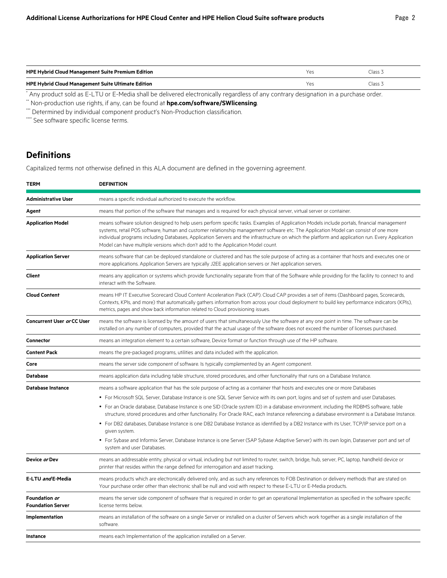| <b>HPE Hybrid Cloud Management Suite Premium Edition</b>                                                                             | Yes | Class 3 |
|--------------------------------------------------------------------------------------------------------------------------------------|-----|---------|
| <b>HPE Hybrid Cloud Management Suite Ultimate Edition</b>                                                                            | Yes | Class 3 |
| * Any product sold as E-LTU or E-Media shall be delivered electronically regardless of any contrary designation in a purchase order. |     |         |

\*\* Non-production use rights, if any, can be found at **[hpe.com/software/SWlicensing](http://www.hpe.com/software/SWlicensing)**.

\*\*\* Determined by individual component product's Non-Production classification.

\*\*\*\* See software specific license terms.

# **Definitions**

Capitalized terms not otherwise defined in this ALA document are defined in the governing agreement.

| <b>TERM</b>                               | <b>DEFINITION</b>                                                                                                                                                                                                                                                                                                                                                                                                                                                                                                           |  |
|-------------------------------------------|-----------------------------------------------------------------------------------------------------------------------------------------------------------------------------------------------------------------------------------------------------------------------------------------------------------------------------------------------------------------------------------------------------------------------------------------------------------------------------------------------------------------------------|--|
| <b>Administrative User</b>                | means a specific individual authorized to execute the workflow.                                                                                                                                                                                                                                                                                                                                                                                                                                                             |  |
| Agent                                     | means that portion of the software that manages and is required for each physical server, virtual server or container.                                                                                                                                                                                                                                                                                                                                                                                                      |  |
| <b>Application Model</b>                  | means software solution designed to help users perform specific tasks. Examples of Application Models include portals, financial management<br>systems, retail POS software, human and customer relationship management software etc. The Application Model can consist of one more<br>individual programs including Databases, Application Servers and the infrastructure on which the platform and application run. Every Application<br>Model can have multiple versions which don't add to the Application Model count. |  |
| <b>Application Server</b>                 | means software that can be deployed standalone or clustered and has the sole purpose of acting as a container that hosts and executes one or<br>more applications. Application Servers are typically J2EE application servers or .Net application servers.                                                                                                                                                                                                                                                                  |  |
| Client                                    | means any application or systems which provide functionality separate from that of the Software while providing for the facility to connect to and<br>interact with the Software.                                                                                                                                                                                                                                                                                                                                           |  |
| <b>Cloud Content</b>                      | means HP IT Executive Scorecard Cloud Content Acceleration Pack (CAP). Cloud CAP provides a set of items (Dashboard pages, Scorecards,<br>Contexts, KPIs, and more) that automatically gathers information from across your cloud deployment to build key performance indicators (KPIs),<br>metrics, pages and show back information related to Cloud provisioning issues.                                                                                                                                                  |  |
| <b>Concurrent User or CC User</b>         | means the software is licensed by the amount of users that simultaneously Use the software at any one point in time. The software can be<br>installed on any number of computers, provided that the actual usage of the software does not exceed the number of licenses purchased.                                                                                                                                                                                                                                          |  |
| <b>Connector</b>                          | means an integration element to a certain software, Device format or function through use of the HP software.                                                                                                                                                                                                                                                                                                                                                                                                               |  |
| <b>Content Pack</b>                       | means the pre-packaged programs, utilities and data included with the application.                                                                                                                                                                                                                                                                                                                                                                                                                                          |  |
| Core                                      | means the server side component of software. Is typically complemented by an Agent component.                                                                                                                                                                                                                                                                                                                                                                                                                               |  |
| <b>Database</b>                           | means application data including table structure, stored procedures, and other functionality that runs on a Database Instance.                                                                                                                                                                                                                                                                                                                                                                                              |  |
| <b>Database Instance</b>                  | means a software application that has the sole purpose of acting as a container that hosts and executes one or more Databases                                                                                                                                                                                                                                                                                                                                                                                               |  |
|                                           | • For Microsoft SQL Server, Database Instance is one SQL Server Service with its own port, logins and set of system and user Databases.                                                                                                                                                                                                                                                                                                                                                                                     |  |
|                                           | • For an Oracle database, Database Instance is one SID (Oracle system ID) in a database environment, including the RDBMS software, table<br>structure, stored procedures and other functionality. For Oracle RAC, each Instance referencing a database environment is a Database Instance.                                                                                                                                                                                                                                  |  |
|                                           | • For DB2 databases, Database Instance is one DB2 Database Instance as identified by a DB2 Instance with its User, TCP/IP service port on a<br>given system.                                                                                                                                                                                                                                                                                                                                                                |  |
|                                           | • For Sybase and Informix Server, Database Instance is one Server (SAP Sybase Adaptive Server) with its own login, Dataserver port and set of<br>system and user Databases.                                                                                                                                                                                                                                                                                                                                                 |  |
| Device or Dev                             | means an addressable entity, physical or virtual, including but not limited to router, switch, bridge, hub, server, PC, laptop, handheld device or<br>printer that resides within the range defined for interrogation and asset tracking.                                                                                                                                                                                                                                                                                   |  |
| E-LTU and E-Media                         | means products which are electronically delivered only, and as such any references to FOB Destination or delivery methods that are stated on<br>Your purchase order other than electronic shall be null and void with respect to these E-LTU or E-Media products.                                                                                                                                                                                                                                                           |  |
| Foundation or<br><b>Foundation Server</b> | means the server side component of software that is required in order to get an operational Implementation as specified in the software specific<br>license terms below.                                                                                                                                                                                                                                                                                                                                                    |  |
| Implementation                            | means an installation of the software on a single Server or installed on a cluster of Servers which work together as a single installation of the<br>software.                                                                                                                                                                                                                                                                                                                                                              |  |
| Instance                                  | means each Implementation of the application installed on a Server.                                                                                                                                                                                                                                                                                                                                                                                                                                                         |  |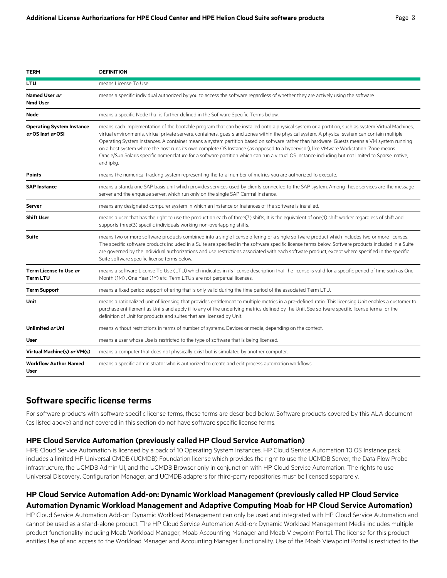|--|--|

| <b>TERM</b>                                           | <b>DEFINITION</b>                                                                                                                                                                                                                                                                                                                                                                                                                                                                                                                                                                                                                                                                                                                                        |  |
|-------------------------------------------------------|----------------------------------------------------------------------------------------------------------------------------------------------------------------------------------------------------------------------------------------------------------------------------------------------------------------------------------------------------------------------------------------------------------------------------------------------------------------------------------------------------------------------------------------------------------------------------------------------------------------------------------------------------------------------------------------------------------------------------------------------------------|--|
| <b>LTU</b>                                            | means License To Use.                                                                                                                                                                                                                                                                                                                                                                                                                                                                                                                                                                                                                                                                                                                                    |  |
| Named User or<br><b>Nmd User</b>                      | means a specific individual authorized by you to access the software regardless of whether they are actively using the software.                                                                                                                                                                                                                                                                                                                                                                                                                                                                                                                                                                                                                         |  |
| Node                                                  | means a specific Node that is further defined in the Software Specific Terms below.                                                                                                                                                                                                                                                                                                                                                                                                                                                                                                                                                                                                                                                                      |  |
| <b>Operating System Instance</b><br>or OS Inst or OSI | means each implementation of the bootable program that can be installed onto a physical system or a partition, such as system Virtual Machines,<br>virtual environments, virtual private servers, containers, quests and zones within the physical system. A physical system can contain multiple<br>Operating System Instances. A container means a system partition based on software rather than hardware. Guests means a VM system running<br>on a host system where the host runs its own complete OS Instance (as opposed to a hypervisor), like VMware Workstation. Zone means<br>Oracle/Sun Solaris specific nomenclature for a software partition which can run a virtual OS instance including but not limited to Sparse, native,<br>and ipkg. |  |
| <b>Points</b>                                         | means the numerical tracking system representing the total number of metrics you are authorized to execute.                                                                                                                                                                                                                                                                                                                                                                                                                                                                                                                                                                                                                                              |  |
| <b>SAP Instance</b>                                   | means a standalone SAP basis unit which provides services used by clients connected to the SAP system. Among these services are the message<br>server and the enqueue server, which run only on the single SAP Central Instance.                                                                                                                                                                                                                                                                                                                                                                                                                                                                                                                         |  |
| Server                                                | means any designated computer system in which an Instance or Instances of the software is installed.                                                                                                                                                                                                                                                                                                                                                                                                                                                                                                                                                                                                                                                     |  |
| <b>Shift User</b>                                     | means a user that has the right to use the product on each of three(3) shifts, It is the equivalent of one(1) shift worker regardless of shift and<br>supports three(3) specific individuals working non-overlapping shifts.                                                                                                                                                                                                                                                                                                                                                                                                                                                                                                                             |  |
| <b>Suite</b>                                          | means two or more software products combined into a single license offering or a single software product which includes two or more licenses.<br>The specific software products included in a Suite are specified in the software specific license terms below. Software products included in a Suite<br>are governed by the individual authorizations and use restrictions associated with each software product, except where specified in the specific<br>Suite software specific license terms below.                                                                                                                                                                                                                                                |  |
| Term License to Use or<br><b>Term LTU</b>             | means a software License To Use (LTU) which indicates in its license description that the license is valid for a specific period of time such as One<br>Month (1M), One Year (1Y) etc. Term LTU's are not perpetual licenses.                                                                                                                                                                                                                                                                                                                                                                                                                                                                                                                            |  |
| <b>Term Support</b>                                   | means a fixed period support offering that is only valid during the time period of the associated Term LTU.                                                                                                                                                                                                                                                                                                                                                                                                                                                                                                                                                                                                                                              |  |
| <b>Unit</b>                                           | means a rationalized unit of licensing that provides entitlement to multiple metrics in a pre-defined ratio. This licensing Unit enables a customer to<br>purchase entitlement as Units and apply it to any of the underlying metrics defined by the Unit. See software specific license terms for the<br>definition of Unit for products and suites that are licensed by Unit.                                                                                                                                                                                                                                                                                                                                                                          |  |
| Unlimited or Unl                                      | means without restrictions in terms of number of systems, Devices or media, depending on the context.                                                                                                                                                                                                                                                                                                                                                                                                                                                                                                                                                                                                                                                    |  |
| User                                                  | means a user whose Use is restricted to the type of software that is being licensed.                                                                                                                                                                                                                                                                                                                                                                                                                                                                                                                                                                                                                                                                     |  |
| Virtual Machine(s) or VM(s)                           | means a computer that does not physically exist but is simulated by another computer.                                                                                                                                                                                                                                                                                                                                                                                                                                                                                                                                                                                                                                                                    |  |
| <b>Workflow Author Named</b><br>User                  | means a specific administrator who is authorized to create and edit process automation workflows.                                                                                                                                                                                                                                                                                                                                                                                                                                                                                                                                                                                                                                                        |  |

## **Software specific license terms**

For software products with software specific license terms, these terms are described below. Software products covered by this ALA document (as listed above) and not covered in this section do not have software specific license terms.

#### **HPE Cloud Service Automation (previously called HP Cloud Service Automation)**

HPE Cloud Service Automation is licensed by a pack of 10 Operating System Instances. HP Cloud Service Automation 10 OS Instance pack includes a limited HP Universal CMDB (UCMDB) Foundation license which provides the right to use the UCMDB Server, the Data Flow Probe infrastructure, the UCMDB Admin UI, and the UCMDB Browser only in conjunction with HP Cloud Service Automation. The rights to use Universal Discovery, Configuration Manager, and UCMDB adapters for third-party repositories must be licensed separately.

## **HP Cloud Service Automation Add-on: Dynamic Workload Management (previously called HP Cloud Service Automation Dynamic Workload Management and Adaptive Computing Moab for HP Cloud Service Automation)**

HP Cloud Service Automation Add-on: Dynamic Workload Management can only be used and integrated with HP Cloud Service Automation and cannot be used as a stand-alone product. The HP Cloud Service Automation Add-on: Dynamic Workload Management Media includes multiple product functionality including Moab Workload Manager, Moab Accounting Manager and Moab Viewpoint Portal. The license for this product entitles Use of and access to the Workload Manager and Accounting Manager functionality. Use of the Moab Viewpoint Portal is restricted to the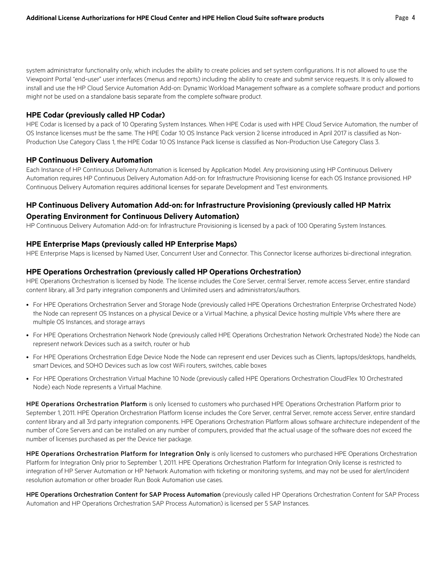system administrator functionality only, which includes the ability to create policies and set system configurations. It is not allowed to use the Viewpoint Portal "end-user" user interfaces (menus and reports) including the ability to create and submit service requests. It is only allowed to install and use the HP Cloud Service Automation Add-on: Dynamic Workload Management software as a complete software product and portions might not be used on a standalone basis separate from the complete software product.

#### **HPE Codar (previously called HP Codar)**

HPE Codar is licensed by a pack of 10 Operating System Instances. When HPE Codar is used with HPE Cloud Service Automation, the number of OS Instance licenses must be the same. The HPE Codar 10 OS Instance Pack version 2 license introduced in April 2017 is classified as Non-Production Use Category Class 1, the HPE Codar 10 OS Instance Pack license is classified as Non-Production Use Category Class 3.

#### **HP Continuous Delivery Automation**

Each Instance of HP Continuous Delivery Automation is licensed by Application Model. Any provisioning using HP Continuous Delivery Automation requires HP Continuous Delivery Automation Add-on: for Infrastructure Provisioning license for each OS Instance provisioned. HP Continuous Delivery Automation requires additional licenses for separate Development and Test environments.

### **HP Continuous Delivery Automation Add-on: for Infrastructure Provisioning (previously called HP Matrix Operating Environment for Continuous Delivery Automation)**

HP Continuous Delivery Automation Add-on: for Infrastructure Provisioning is licensed by a pack of 100 Operating System Instances.

#### **HPE Enterprise Maps (previously called HP Enterprise Maps)**

HPE Enterprise Maps is licensed by Named User, Concurrent User and Connector. This Connector license authorizes bi-directional integration.

#### **HPE Operations Orchestration (previously called HP Operations Orchestration)**

HPE Operations Orchestration is licensed by Node. The license includes the Core Server, central Server, remote access Server, entire standard content library, all 3rd party integration components and Unlimited users and administrators/authors.

- For HPE Operations Orchestration Server and Storage Node (previously called HPE Operations Orchestration Enterprise Orchestrated Node) the Node can represent OS Instances on a physical Device or a Virtual Machine, a physical Device hosting multiple VMs where there are multiple OS Instances, and storage arrays
- For HPE Operations Orchestration Network Node (previously called HPE Operations Orchestration Network Orchestrated Node) the Node can represent network Devices such as a switch, router or hub
- For HPE Operations Orchestration Edge Device Node the Node can represent end user Devices such as Clients, laptops/desktops, handhelds, smart Devices, and SOHO Devices such as low cost WiFi routers, switches, cable boxes
- For HPE Operations Orchestration Virtual Machine 10 Node (previously called HPE Operations Orchestration CloudFlex 10 Orchestrated Node) each Node represents a Virtual Machine.

HPE Operations Orchestration Platform is only licensed to customers who purchased HPE Operations Orchestration Platform prior to September 1, 2011. HPE Operation Orchestration Platform license includes the Core Server, central Server, remote access Server, entire standard content library and all 3rd party integration components. HPE Operations Orchestration Platform allows software architecture independent of the number of Core Servers and can be installed on any number of computers, provided that the actual usage of the software does not exceed the number of licenses purchased as per the Device tier package.

HPE Operations Orchestration Platform for Integration Only is only licensed to customers who purchased HPE Operations Orchestration Platform for Integration Only prior to September 1, 2011. HPE Operations Orchestration Platform for Integration Only license is restricted to integration of HP Server Automation or HP Network Automation with ticketing or monitoring systems, and may not be used for alert/incident resolution automation or other broader Run Book Automation use cases.

HPE Operations Orchestration Content for SAP Process Automation (previously called HP Operations Orchestration Content for SAP Process Automation and HP Operations Orchestration SAP Process Automation) is licensed per 5 SAP Instances.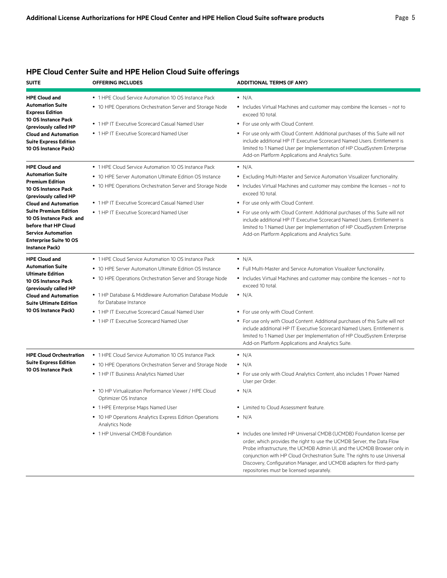| <b>SUITE</b>                                                                                                                                                                                                                                                                                                                       | <b>OFFERING INCLUDES</b>                                                                                                                                                                                                                                                                                                                                                                              | <b>ADDITIONAL TERMS (IF ANY)</b>                                                                                                                                                                                                                                                                                                                                                                                                                                                                                                                                                                                                           |
|------------------------------------------------------------------------------------------------------------------------------------------------------------------------------------------------------------------------------------------------------------------------------------------------------------------------------------|-------------------------------------------------------------------------------------------------------------------------------------------------------------------------------------------------------------------------------------------------------------------------------------------------------------------------------------------------------------------------------------------------------|--------------------------------------------------------------------------------------------------------------------------------------------------------------------------------------------------------------------------------------------------------------------------------------------------------------------------------------------------------------------------------------------------------------------------------------------------------------------------------------------------------------------------------------------------------------------------------------------------------------------------------------------|
| <b>HPE Cloud and</b><br><b>Automation Suite</b><br><b>Express Edition</b><br><b>10 OS Instance Pack</b><br>(previously called HP<br><b>Cloud and Automation</b><br><b>Suite Express Edition</b><br>10 OS Instance Pack)                                                                                                            | • 1 HPE Cloud Service Automation 10 OS Instance Pack<br>• 10 HPE Operations Orchestration Server and Storage Node<br>• 1 HP IT Executive Scorecard Casual Named User<br>• 1 HP IT Executive Scorecard Named User                                                                                                                                                                                      | $\bullet$ N/A.<br>• Includes Virtual Machines and customer may combine the licenses - not to<br>exceed 10 total.<br>• For use only with Cloud Content.<br>• For use only with Cloud Content. Additional purchases of this Suite will not<br>include additional HP IT Executive Scorecard Named Users. Entitlement is<br>limited to 1 Named User per Implementation of HP CloudSystem Enterprise<br>Add-on Platform Applications and Analytics Suite.                                                                                                                                                                                       |
| <b>HPE Cloud and</b><br><b>Automation Suite</b><br><b>Premium Edition</b><br><b>10 OS Instance Pack</b><br>(previously called HP<br><b>Cloud and Automation</b><br><b>Suite Premium Edition</b><br>10 OS Instance Pack and<br>before that HP Cloud<br><b>Service Automation</b><br><b>Enterprise Suite 10 OS</b><br>Instance Pack) | • 1 HPE Cloud Service Automation 10 OS Instance Pack<br>• 10 HPE Server Automation Ultimate Edition OS Instance<br>• 10 HPE Operations Orchestration Server and Storage Node<br>• 1 HP IT Executive Scorecard Casual Named User<br>• 1 HP IT Executive Scorecard Named User                                                                                                                           | $\bullet$ N/A.<br>• Excluding Multi-Master and Service Automation Visualizer functionality.<br>• Includes Virtual Machines and customer may combine the licenses – not to<br>exceed 10 total.<br>• For use only with Cloud Content.<br>• For use only with Cloud Content. Additional purchases of this Suite will not<br>include additional HP IT Executive Scorecard Named Users. Entitlement is<br>limited to 1 Named User per Implementation of HP CloudSystem Enterprise<br>Add-on Platform Applications and Analytics Suite.                                                                                                          |
| <b>HPE Cloud and</b><br><b>Automation Suite</b><br><b>Ultimate Edition</b><br>10 OS Instance Pack<br>(previously called HP<br><b>Cloud and Automation</b><br><b>Suite Ultimate Edition</b><br>10 OS Instance Pack)                                                                                                                 | • 1 HPE Cloud Service Automation 10 OS Instance Pack<br>• 10 HPE Server Automation Ultimate Edition OS Instance<br>• 10 HPE Operations Orchestration Server and Storage Node<br>• 1 HP Database & Middleware Automation Database Module<br>for Database Instance<br>• 1 HP IT Executive Scorecard Casual Named User<br>• 1 HP IT Executive Scorecard Named User                                       | $\bullet$ N/A.<br>• Full Multi-Master and Service Automation Visualizer functionality.<br>• Includes Virtual Machines and customer may combine the licenses - not to<br>exceed 10 total.<br>$\bullet$ N/A.<br>• For use only with Cloud Content.<br>• For use only with Cloud Content. Additional purchases of this Suite will not<br>include additional HP IT Executive Scorecard Named Users. Entitlement is<br>limited to 1 Named User per Implementation of HP CloudSystem Enterprise<br>Add-on Platform Applications and Analytics Suite.                                                                                             |
| <b>HPE Cloud Orchestration</b><br><b>Suite Express Edition</b><br><b>10 OS Instance Pack</b>                                                                                                                                                                                                                                       | • 1 HPE Cloud Service Automation 10 OS Instance Pack<br>• 10 HPE Operations Orchestration Server and Storage Node<br>• 1 HP IT Business Analytics Named User<br>• 10 HP Virtualization Performance Viewer / HPE Cloud<br>Optimizer OS Instance<br>• 1 HPE Enterprise Maps Named User<br>• 10 HP Operations Analytics Express Edition Operations<br>Analytics Node<br>• 1 HP Universal CMDB Foundation | $\bullet$ N/A<br>$\cdot$ N/A<br>• For use only with Cloud Analytics Content, also includes 1 Power Named<br>User per Order.<br>$\bullet$ N/A<br>• Limited to Cloud Assessment feature.<br>$\bullet$ N/A<br>• Includes one limited HP Universal CMDB (UCMDB) Foundation license per<br>order, which provides the right to use the UCMDB Server, the Data Flow<br>Probe infrastructure, the UCMDB Admin UI, and the UCMDB Browser only in<br>conjunction with HP Cloud Orchestration Suite. The rights to use Universal<br>Discovery, Configuration Manager, and UCMDB adapters for third-party<br>repositories must be licensed separately. |

## **HPE Cloud Center Suite and HPE Helion Cloud Suite offerings**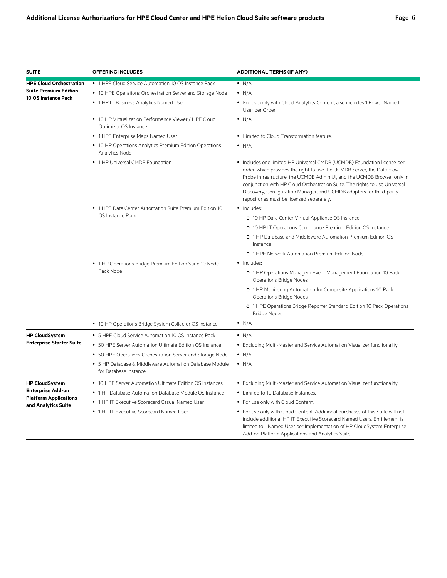| <b>SUITE</b>                                                                                 | <b>OFFERING INCLUDES</b>                                                                                          | <b>ADDITIONAL TERMS (IF ANY)</b>                                                                                                                                                                                                                                                                                                                                                                                                |
|----------------------------------------------------------------------------------------------|-------------------------------------------------------------------------------------------------------------------|---------------------------------------------------------------------------------------------------------------------------------------------------------------------------------------------------------------------------------------------------------------------------------------------------------------------------------------------------------------------------------------------------------------------------------|
| <b>HPE Cloud Orchestration</b><br><b>Suite Premium Edition</b><br><b>10 OS Instance Pack</b> | • 1 HPE Cloud Service Automation 10 OS Instance Pack<br>• 10 HPE Operations Orchestration Server and Storage Node | $\bullet$ N/A<br>$\bullet$ N/A                                                                                                                                                                                                                                                                                                                                                                                                  |
|                                                                                              | • 1 HP IT Business Analytics Named User                                                                           | • For use only with Cloud Analytics Content, also includes 1 Power Named<br>User per Order.                                                                                                                                                                                                                                                                                                                                     |
|                                                                                              | • 10 HP Virtualization Performance Viewer / HPE Cloud<br>Optimizer OS Instance                                    | $\bullet$ N/A                                                                                                                                                                                                                                                                                                                                                                                                                   |
|                                                                                              | • 1 HPE Enterprise Maps Named User                                                                                | • Limited to Cloud Transformation feature.                                                                                                                                                                                                                                                                                                                                                                                      |
|                                                                                              | • 10 HP Operations Analytics Premium Edition Operations<br>Analytics Node                                         | $\bullet$ N/A                                                                                                                                                                                                                                                                                                                                                                                                                   |
|                                                                                              | • 1 HP Universal CMDB Foundation                                                                                  | • Includes one limited HP Universal CMDB (UCMDB) Foundation license per<br>order, which provides the right to use the UCMDB Server, the Data Flow<br>Probe infrastructure, the UCMDB Admin UI, and the UCMDB Browser only in<br>conjunction with HP Cloud Orchestration Suite. The rights to use Universal<br>Discovery, Configuration Manager, and UCMDB adapters for third-party<br>repositories must be licensed separately. |
|                                                                                              | • 1 HPE Data Center Automation Suite Premium Edition 10                                                           | · Includes:                                                                                                                                                                                                                                                                                                                                                                                                                     |
|                                                                                              | OS Instance Pack                                                                                                  | o 10 HP Data Center Virtual Appliance OS Instance                                                                                                                                                                                                                                                                                                                                                                               |
|                                                                                              |                                                                                                                   | o 10 HP IT Operations Compliance Premium Edition OS Instance                                                                                                                                                                                                                                                                                                                                                                    |
|                                                                                              |                                                                                                                   | o 1 HP Database and Middleware Automation Premium Edition OS<br>Instance                                                                                                                                                                                                                                                                                                                                                        |
|                                                                                              |                                                                                                                   | o 1 HPE Network Automation Premium Edition Node                                                                                                                                                                                                                                                                                                                                                                                 |
|                                                                                              | • 1 HP Operations Bridge Premium Edition Suite 10 Node                                                            | • Includes:                                                                                                                                                                                                                                                                                                                                                                                                                     |
|                                                                                              | Pack Node                                                                                                         | o 1 HP Operations Manager i Event Management Foundation 10 Pack<br><b>Operations Bridge Nodes</b>                                                                                                                                                                                                                                                                                                                               |
|                                                                                              |                                                                                                                   | o 1 HP Monitoring Automation for Composite Applications 10 Pack<br>Operations Bridge Nodes                                                                                                                                                                                                                                                                                                                                      |
|                                                                                              |                                                                                                                   | o 1 HPE Operations Bridge Reporter Standard Edition 10 Pack Operations<br><b>Bridge Nodes</b>                                                                                                                                                                                                                                                                                                                                   |
|                                                                                              | • 10 HP Operations Bridge System Collector OS Instance                                                            | $\bullet$ N/A                                                                                                                                                                                                                                                                                                                                                                                                                   |
| <b>HP CloudSystem</b>                                                                        | • 5 HPE Cloud Service Automation 10 OS Instance Pack                                                              | $\bullet$ N/A.                                                                                                                                                                                                                                                                                                                                                                                                                  |
| <b>Enterprise Starter Suite</b>                                                              | • 50 HPE Server Automation Ultimate Edition OS Instance                                                           | • Excluding Multi-Master and Service Automation Visualizer functionality.                                                                                                                                                                                                                                                                                                                                                       |
|                                                                                              | • 50 HPE Operations Orchestration Server and Storage Node                                                         | $\bullet$ N/A.                                                                                                                                                                                                                                                                                                                                                                                                                  |
|                                                                                              | • 5 HP Database & Middleware Automation Database Module<br>for Database Instance                                  | $\bullet$ N/A.                                                                                                                                                                                                                                                                                                                                                                                                                  |
| <b>HP CloudSystem</b>                                                                        | • 10 HPE Server Automation Ultimate Edition OS Instances                                                          | • Excluding Multi-Master and Service Automation Visualizer functionality.                                                                                                                                                                                                                                                                                                                                                       |
| <b>Enterprise Add-on</b>                                                                     | • 1 HP Database Automation Database Module OS Instance                                                            | • Limited to 10 Database Instances.                                                                                                                                                                                                                                                                                                                                                                                             |
| <b>Platform Applications</b>                                                                 | • 1 HP IT Executive Scorecard Casual Named User                                                                   | • For use only with Cloud Content.                                                                                                                                                                                                                                                                                                                                                                                              |
| and Analytics Suite                                                                          | • 1 HP IT Executive Scorecard Named User                                                                          | • For use only with Cloud Content. Additional purchases of this Suite will not<br>include additional HP IT Executive Scorecard Named Users. Entitlement is<br>limited to 1 Named User per Implementation of HP CloudSystem Enterprise<br>Add-on Platform Applications and Analytics Suite.                                                                                                                                      |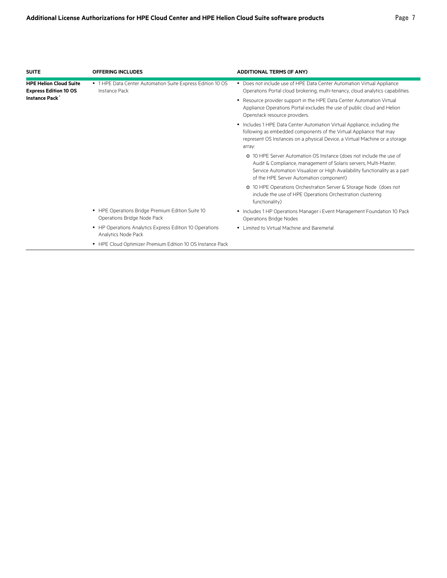÷

| <b>SUITE</b>                                                  | <b>OFFERING INCLUDES</b>                                                        | <b>ADDITIONAL TERMS (IF ANY)</b>                                                                                                                                                                                                                                 |
|---------------------------------------------------------------|---------------------------------------------------------------------------------|------------------------------------------------------------------------------------------------------------------------------------------------------------------------------------------------------------------------------------------------------------------|
| <b>HPE Helion Cloud Suite</b><br><b>Express Edition 10 OS</b> | • 1 HPE Data Center Automation Suite Express Edition 10 OS<br>Instance Pack     | • Does not include use of HPE Data Center Automation Virtual Appliance<br>Operations Portal cloud brokering, multi-tenancy, cloud analytics capabilities.                                                                                                        |
| <b>Instance Pack</b>                                          |                                                                                 | • Resource provider support in the HPE Data Center Automation Virtual<br>Appliance Operations Portal excludes the use of public cloud and Helion<br>Openstack resource providers.                                                                                |
|                                                               |                                                                                 | • Includes 1 HPE Data Center Automation Virtual Appliance, including the<br>following as embedded components of the Virtual Appliance that may<br>represent OS Instances on a physical Device, a Virtual Machine or a storage<br>array:                          |
|                                                               |                                                                                 | o 10 HPE Server Automation OS Instance (does not include the use of<br>Audit & Compliance, management of Solaris servers, Multi-Master,<br>Service Automation Visualizer or High Availability functionality as a part<br>of the HPE Server Automation component) |
|                                                               |                                                                                 | o 10 HPE Operations Orchestration Server & Storage Node (does not<br>include the use of HPE Operations Orchestration clustering<br>functionality)                                                                                                                |
|                                                               | • HPE Operations Bridge Premium Edition Suite 10<br>Operations Bridge Node Pack | • Includes 1 HP Operations Manager i Event Management Foundation 10 Pack<br>Operations Bridge Nodes                                                                                                                                                              |
|                                                               | • HP Operations Analytics Express Edition 10 Operations<br>Analytics Node Pack  | • Limited to Virtual Machine and Baremetal                                                                                                                                                                                                                       |
|                                                               | • HPE Cloud Optimizer Premium Edition 10 OS Instance Pack                       |                                                                                                                                                                                                                                                                  |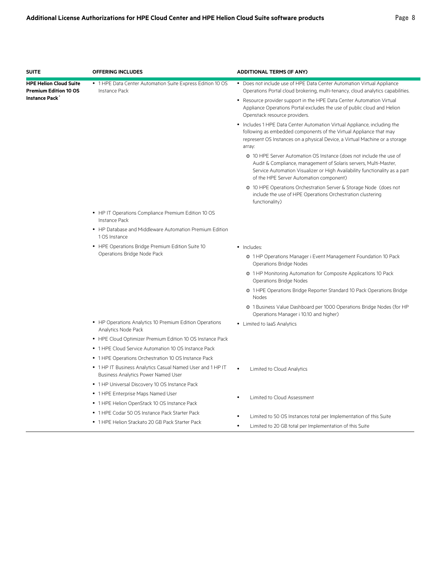| <b>SUITE</b>                                                  | <b>OFFERING INCLUDES</b>                                                                                 | <b>ADDITIONAL TERMS (IF ANY)</b>                                                                                                                                                                                                                                 |
|---------------------------------------------------------------|----------------------------------------------------------------------------------------------------------|------------------------------------------------------------------------------------------------------------------------------------------------------------------------------------------------------------------------------------------------------------------|
| <b>HPE Helion Cloud Suite</b><br><b>Premium Edition 10 OS</b> | • 1 HPE Data Center Automation Suite Express Edition 10 OS<br>Instance Pack                              | • Does not include use of HPE Data Center Automation Virtual Appliance<br>Operations Portal cloud brokering, multi-tenancy, cloud analytics capabilities.                                                                                                        |
| <b>Instance Pack</b>                                          |                                                                                                          | • Resource provider support in the HPE Data Center Automation Virtual<br>Appliance Operations Portal excludes the use of public cloud and Helion<br>Openstack resource providers.                                                                                |
|                                                               |                                                                                                          | • Includes 1 HPE Data Center Automation Virtual Appliance, including the<br>following as embedded components of the Virtual Appliance that may<br>represent OS Instances on a physical Device, a Virtual Machine or a storage<br>array:                          |
|                                                               |                                                                                                          | o 10 HPE Server Automation OS Instance (does not include the use of<br>Audit & Compliance, management of Solaris servers, Multi-Master,<br>Service Automation Visualizer or High Availability functionality as a part<br>of the HPE Server Automation component) |
|                                                               |                                                                                                          | o 10 HPE Operations Orchestration Server & Storage Node (does not<br>include the use of HPE Operations Orchestration clustering<br>functionality)                                                                                                                |
|                                                               | • HP IT Operations Compliance Premium Edition 10 OS<br>Instance Pack                                     |                                                                                                                                                                                                                                                                  |
|                                                               | • HP Database and Middleware Automation Premium Edition<br>1 OS Instance                                 |                                                                                                                                                                                                                                                                  |
|                                                               | • HPE Operations Bridge Premium Edition Suite 10                                                         | · Includes:                                                                                                                                                                                                                                                      |
|                                                               | Operations Bridge Node Pack                                                                              | o 1HP Operations Manager i Event Management Foundation 10 Pack<br>Operations Bridge Nodes                                                                                                                                                                        |
|                                                               |                                                                                                          | o 1HP Monitoring Automation for Composite Applications 10 Pack<br>Operations Bridge Nodes                                                                                                                                                                        |
|                                                               |                                                                                                          | o 1 HPE Operations Bridge Reporter Standard 10 Pack Operations Bridge<br>Nodes                                                                                                                                                                                   |
|                                                               |                                                                                                          | o 1 Business Value Dashboard per 1000 Operations Bridge Nodes (for HP<br>Operations Manager i 10.10 and higher)                                                                                                                                                  |
|                                                               | • HP Operations Analytics 10 Premium Edition Operations<br>Analytics Node Pack                           | • Limited to laaS Analytics                                                                                                                                                                                                                                      |
|                                                               | • HPE Cloud Optimizer Premium Edition 10 OS Instance Pack                                                |                                                                                                                                                                                                                                                                  |
|                                                               | • 1 HPE Cloud Service Automation 10 OS Instance Pack                                                     |                                                                                                                                                                                                                                                                  |
|                                                               | • 1 HPE Operations Orchestration 10 OS Instance Pack                                                     |                                                                                                                                                                                                                                                                  |
|                                                               | • 1 HP IT Business Analytics Casual Named User and 1 HP IT<br><b>Business Analytics Power Named User</b> | Limited to Cloud Analytics                                                                                                                                                                                                                                       |
|                                                               | • 1 HP Universal Discovery 10 OS Instance Pack                                                           |                                                                                                                                                                                                                                                                  |
|                                                               | • 1 HPE Enterprise Maps Named User                                                                       | Limited to Cloud Assessment                                                                                                                                                                                                                                      |
|                                                               | • 1 HPE Helion OpenStack 10 OS Instance Pack                                                             |                                                                                                                                                                                                                                                                  |
|                                                               | • 1 HPE Codar 50 OS Instance Pack Starter Pack                                                           | Limited to 50 OS Instances total per Implementation of this Suite                                                                                                                                                                                                |
|                                                               | • 1 HPE Helion Stackato 20 GB Pack Starter Pack                                                          | Limited to 20 GB total per Implementation of this Suite<br>$\bullet$                                                                                                                                                                                             |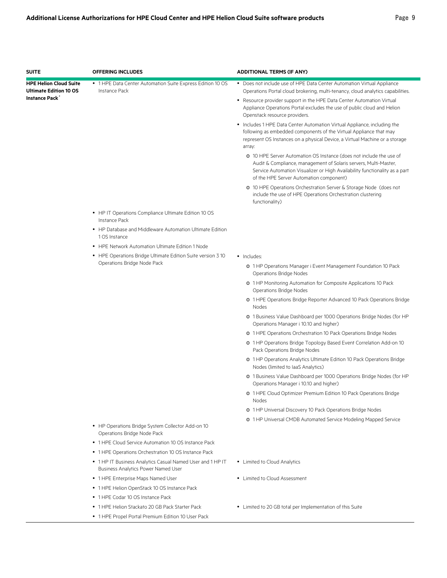| <b>SUITE</b>                                                   | <b>OFFERING INCLUDES</b>                                                                                 | <b>ADDITIONAL TERMS (IF ANY)</b>                                                                                                                                                                                                                                 |
|----------------------------------------------------------------|----------------------------------------------------------------------------------------------------------|------------------------------------------------------------------------------------------------------------------------------------------------------------------------------------------------------------------------------------------------------------------|
| <b>HPE Helion Cloud Suite</b><br><b>Ultimate Edition 10 OS</b> | • 1 HPE Data Center Automation Suite Express Edition 10 OS<br>Instance Pack                              | • Does not include use of HPE Data Center Automation Virtual Appliance<br>Operations Portal cloud brokering, multi-tenancy, cloud analytics capabilities.                                                                                                        |
| Instance Pack                                                  |                                                                                                          | • Resource provider support in the HPE Data Center Automation Virtual<br>Appliance Operations Portal excludes the use of public cloud and Helion<br>Openstack resource providers.                                                                                |
|                                                                |                                                                                                          | • Includes 1 HPE Data Center Automation Virtual Appliance, including the<br>following as embedded components of the Virtual Appliance that may<br>represent OS Instances on a physical Device, a Virtual Machine or a storage<br>array:                          |
|                                                                |                                                                                                          | o 10 HPE Server Automation OS Instance (does not include the use of<br>Audit & Compliance, management of Solaris servers, Multi-Master,<br>Service Automation Visualizer or High Availability functionality as a part<br>of the HPE Server Automation component) |
|                                                                |                                                                                                          | o 10 HPE Operations Orchestration Server & Storage Node (does not<br>include the use of HPE Operations Orchestration clustering<br>functionality)                                                                                                                |
|                                                                | • HP IT Operations Compliance Ultimate Edition 10 OS<br><b>Instance Pack</b>                             |                                                                                                                                                                                                                                                                  |
|                                                                | • HP Database and Middleware Automation Ultimate Edition<br>1 OS Instance                                |                                                                                                                                                                                                                                                                  |
|                                                                | • HPE Network Automation Ultimate Edition 1 Node                                                         |                                                                                                                                                                                                                                                                  |
|                                                                | • HPE Operations Bridge Ultimate Edition Suite version 3 10                                              | · Includes:                                                                                                                                                                                                                                                      |
|                                                                | Operations Bridge Node Pack                                                                              | o 1HP Operations Manager i Event Management Foundation 10 Pack<br><b>Operations Bridge Nodes</b>                                                                                                                                                                 |
|                                                                |                                                                                                          | o 1HP Monitoring Automation for Composite Applications 10 Pack<br>Operations Bridge Nodes                                                                                                                                                                        |
|                                                                |                                                                                                          | o 1 HPE Operations Bridge Reporter Advanced 10 Pack Operations Bridge<br>Nodes                                                                                                                                                                                   |
|                                                                |                                                                                                          | o 1 Business Value Dashboard per 1000 Operations Bridge Nodes (for HP<br>Operations Manager i 10.10 and higher)                                                                                                                                                  |
|                                                                |                                                                                                          | o 1 HPE Operations Orchestration 10 Pack Operations Bridge Nodes                                                                                                                                                                                                 |
|                                                                |                                                                                                          | o 1HP Operations Bridge Topology Based Event Correlation Add-on 10<br>Pack Operations Bridge Nodes                                                                                                                                                               |
|                                                                |                                                                                                          | o 1 HP Operations Analytics Ultimate Edition 10 Pack Operations Bridge<br>Nodes (limited to laaS Analytics)                                                                                                                                                      |
|                                                                |                                                                                                          | o 1 Business Value Dashboard per 1000 Operations Bridge Nodes (for HP<br>Operations Manager i 10.10 and higher)                                                                                                                                                  |
|                                                                |                                                                                                          | o 1 HPE Cloud Optimizer Premium Edition 10 Pack Operations Bridge<br>Nodes                                                                                                                                                                                       |
|                                                                |                                                                                                          | o 1 HP Universal Discovery 10 Pack Operations Bridge Nodes                                                                                                                                                                                                       |
|                                                                | • HP Operations Bridge System Collector Add-on 10<br>Operations Bridge Node Pack                         | o 1 HP Universal CMDB Automated Service Modeling Mapped Service                                                                                                                                                                                                  |
|                                                                | • 1 HPE Cloud Service Automation 10 OS Instance Pack                                                     |                                                                                                                                                                                                                                                                  |
|                                                                |                                                                                                          |                                                                                                                                                                                                                                                                  |
|                                                                | • 1 HPE Operations Orchestration 10 OS Instance Pack                                                     |                                                                                                                                                                                                                                                                  |
|                                                                | • 1 HP IT Business Analytics Casual Named User and 1 HP IT<br><b>Business Analytics Power Named User</b> | • Limited to Cloud Analytics                                                                                                                                                                                                                                     |
|                                                                | • 1 HPE Enterprise Maps Named User                                                                       | • Limited to Cloud Assessment                                                                                                                                                                                                                                    |
|                                                                | • 1 HPE Helion OpenStack 10 OS Instance Pack                                                             |                                                                                                                                                                                                                                                                  |
|                                                                | • 1 HPE Codar 10 OS Instance Pack                                                                        |                                                                                                                                                                                                                                                                  |
|                                                                | • 1 HPE Helion Stackato 20 GB Pack Starter Pack                                                          | • Limited to 20 GB total per Implementation of this Suite                                                                                                                                                                                                        |
|                                                                | • 1 HPE Propel Portal Premium Edition 10 User Pack                                                       |                                                                                                                                                                                                                                                                  |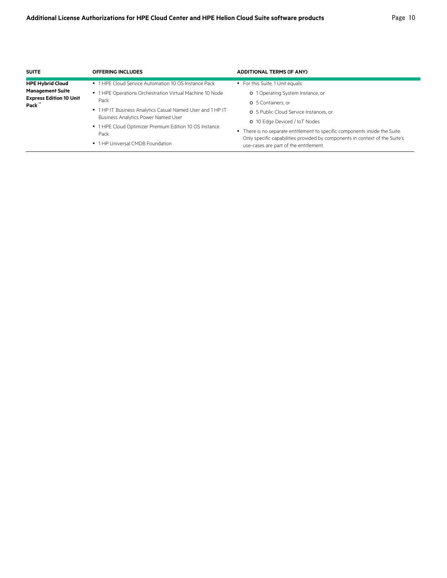| <b>SUITE</b>                                                                                  | <b>OFFERING INCLUDES</b>                                                                                                                                                                                                                                                                               | <b>ADDITIONAL TERMS (IF ANY)</b>                                                                                                                                                                                                                                                                                                     |
|-----------------------------------------------------------------------------------------------|--------------------------------------------------------------------------------------------------------------------------------------------------------------------------------------------------------------------------------------------------------------------------------------------------------|--------------------------------------------------------------------------------------------------------------------------------------------------------------------------------------------------------------------------------------------------------------------------------------------------------------------------------------|
| <b>HPE Hybrid Cloud</b><br><b>Management Suite</b><br><b>Express Edition 10 Unit</b><br>Pack" | • 1 HPE Cloud Service Automation 10 OS Instance Pack<br>• 1 HPE Operations Orchestration Virtual Machine 10 Node<br>Pack<br>• 1 HP IT Business Analytics Casual Named User and 1 HP IT<br><b>Business Analytics Power Named User</b><br>• 1 HPE Cloud Optimizer Premium Edition 10 OS Instance<br>Pack | • For this Suite, 1 Unit equals:<br>o 1 Operating System Instance, or<br>o 5 Containers, or<br>o 5 Public Cloud Service Instances, or<br>o 10 Edge Deviced / IoT Nodes<br>• There is no separate entitlement to specific components inside the Suite.<br>Only specific capabilities provided by components in context of the Suite's |
|                                                                                               | • 1 HP Universal CMDB Foundation                                                                                                                                                                                                                                                                       | use-cases are part of the entitlement.                                                                                                                                                                                                                                                                                               |